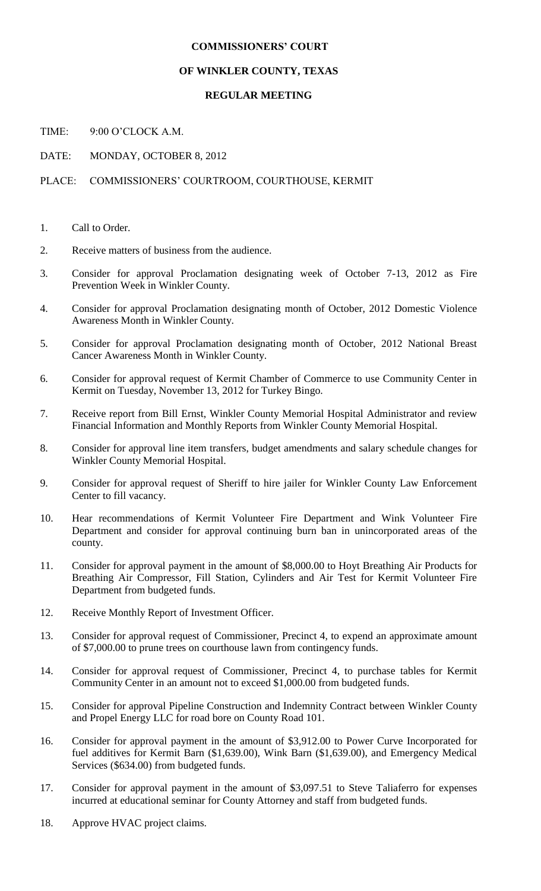### **COMMISSIONERS' COURT**

#### **OF WINKLER COUNTY, TEXAS**

#### **REGULAR MEETING**

TIME: 9:00 O'CLOCK A M.

DATE: MONDAY, OCTOBER 8, 2012

## PLACE: COMMISSIONERS' COURTROOM, COURTHOUSE, KERMIT

- 1. Call to Order.
- 2. Receive matters of business from the audience.
- 3. Consider for approval Proclamation designating week of October 7-13, 2012 as Fire Prevention Week in Winkler County.
- 4. Consider for approval Proclamation designating month of October, 2012 Domestic Violence Awareness Month in Winkler County.
- 5. Consider for approval Proclamation designating month of October, 2012 National Breast Cancer Awareness Month in Winkler County.
- 6. Consider for approval request of Kermit Chamber of Commerce to use Community Center in Kermit on Tuesday, November 13, 2012 for Turkey Bingo.
- 7. Receive report from Bill Ernst, Winkler County Memorial Hospital Administrator and review Financial Information and Monthly Reports from Winkler County Memorial Hospital.
- 8. Consider for approval line item transfers, budget amendments and salary schedule changes for Winkler County Memorial Hospital.
- 9. Consider for approval request of Sheriff to hire jailer for Winkler County Law Enforcement Center to fill vacancy.
- 10. Hear recommendations of Kermit Volunteer Fire Department and Wink Volunteer Fire Department and consider for approval continuing burn ban in unincorporated areas of the county.
- 11. Consider for approval payment in the amount of \$8,000.00 to Hoyt Breathing Air Products for Breathing Air Compressor, Fill Station, Cylinders and Air Test for Kermit Volunteer Fire Department from budgeted funds.
- 12. Receive Monthly Report of Investment Officer.
- 13. Consider for approval request of Commissioner, Precinct 4, to expend an approximate amount of \$7,000.00 to prune trees on courthouse lawn from contingency funds.
- 14. Consider for approval request of Commissioner, Precinct 4, to purchase tables for Kermit Community Center in an amount not to exceed \$1,000.00 from budgeted funds.
- 15. Consider for approval Pipeline Construction and Indemnity Contract between Winkler County and Propel Energy LLC for road bore on County Road 101.
- 16. Consider for approval payment in the amount of \$3,912.00 to Power Curve Incorporated for fuel additives for Kermit Barn (\$1,639.00), Wink Barn (\$1,639.00), and Emergency Medical Services (\$634.00) from budgeted funds.
- 17. Consider for approval payment in the amount of \$3,097.51 to Steve Taliaferro for expenses incurred at educational seminar for County Attorney and staff from budgeted funds.
- 18. Approve HVAC project claims.